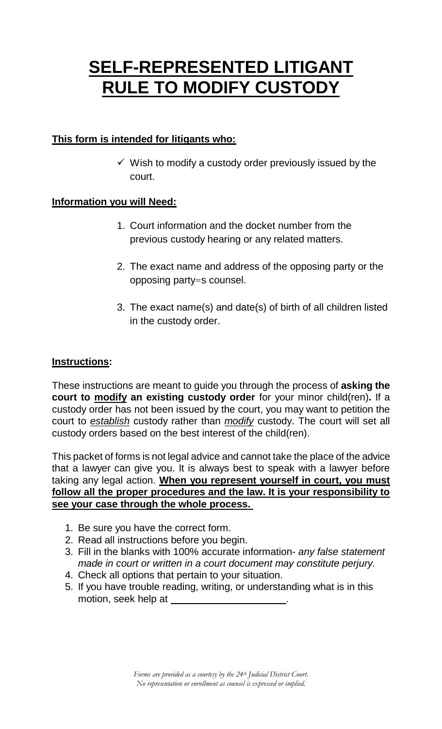# **SELF-REPRESENTED LITIGANT RULE TO MODIFY CUSTODY**

### **This form is intended for litigants who:**

 $\checkmark$  Wish to modify a custody order previously issued by the court.

#### **Information you will Need:**

- 1. Court information and the docket number from the previous custody hearing or any related matters.
- 2. The exact name and address of the opposing party or the opposing party=s counsel.
- 3. The exact name(s) and date(s) of birth of all children listed in the custody order.

#### **Instructions:**

These instructions are meant to guide you through the process of **asking the court to modify an existing custody order** for your minor child(ren)**.** If a custody order has not been issued by the court, you may want to petition the court to *establish* custody rather than *modify* custody. The court will set all custody orders based on the best interest of the child(ren).

This packet of forms is not legal advice and cannot take the place of the advice that a lawyer can give you. It is always best to speak with a lawyer before taking any legal action. **When you represent yourself in court, you must follow all the proper procedures and the law. It is your responsibility to see your case through the whole process.** 

- 1. Be sure you have the correct form.
- 2. Read all instructions before you begin.
- 3. Fill in the blanks with 100% accurate information- *any false statement made in court or written in a court document may constitute perjury.*
- 4. Check all options that pertain to your situation.
- 5. If you have trouble reading, writing, or understanding what is in this motion, seek help at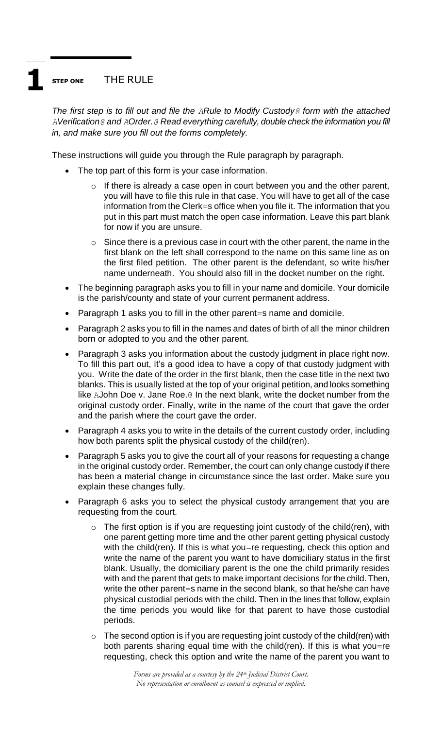### **STEP ONE** THE RULE

*The first step is to fill out and file the ARule to Modify Custody@ form with the attached AVerification@ and AOrder.@ Read everything carefully, double check the information you fill in, and make sure you fill out the forms completely.* 

These instructions will guide you through the Rule paragraph by paragraph.

- The top part of this form is your case information.
	- $\circ$  If there is already a case open in court between you and the other parent, you will have to file this rule in that case. You will have to get all of the case information from the Clerk=s office when you file it. The information that you put in this part must match the open case information. Leave this part blank for now if you are unsure.
	- $\circ$  Since there is a previous case in court with the other parent, the name in the first blank on the left shall correspond to the name on this same line as on the first filed petition. The other parent is the defendant, so write his/her name underneath. You should also fill in the docket number on the right.
- The beginning paragraph asks you to fill in your name and domicile. Your domicile is the parish/county and state of your current permanent address.
- Paragraph 1 asks you to fill in the other parent=s name and domicile.
- Paragraph 2 asks you to fill in the names and dates of birth of all the minor children born or adopted to you and the other parent.
- Paragraph 3 asks you information about the custody judgment in place right now. To fill this part out, it's a good idea to have a copy of that custody judgment with you. Write the date of the order in the first blank, then the case title in the next two blanks. This is usually listed at the top of your original petition, and looks something like AJohn Doe v. Jane Roe.@ In the next blank, write the docket number from the original custody order. Finally, write in the name of the court that gave the order and the parish where the court gave the order.
- Paragraph 4 asks you to write in the details of the current custody order, including how both parents split the physical custody of the child(ren).
- Paragraph 5 asks you to give the court all of your reasons for requesting a change in the original custody order. Remember, the court can only change custody if there has been a material change in circumstance since the last order. Make sure you explain these changes fully.
- Paragraph 6 asks you to select the physical custody arrangement that you are requesting from the court.
	- $\circ$  The first option is if you are requesting joint custody of the child(ren), with one parent getting more time and the other parent getting physical custody with the child(ren). If this is what you=re requesting, check this option and write the name of the parent you want to have domiciliary status in the first blank. Usually, the domiciliary parent is the one the child primarily resides with and the parent that gets to make important decisions for the child. Then, write the other parent=s name in the second blank, so that he/she can have physical custodial periods with the child. Then in the lines that follow, explain the time periods you would like for that parent to have those custodial periods.
	- $\circ$  The second option is if you are requesting joint custody of the child(ren) with both parents sharing equal time with the child(ren). If this is what you=re requesting, check this option and write the name of the parent you want to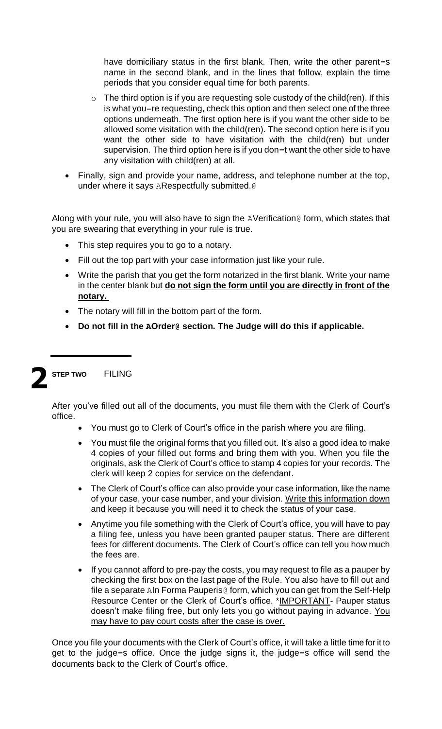have domiciliary status in the first blank. Then, write the other parent=s name in the second blank, and in the lines that follow, explain the time periods that you consider equal time for both parents.

- $\circ$  The third option is if you are requesting sole custody of the child(ren). If this is what you=re requesting, check this option and then select one of the three options underneath. The first option here is if you want the other side to be allowed some visitation with the child(ren). The second option here is if you want the other side to have visitation with the child(ren) but under supervision. The third option here is if you don=t want the other side to have any visitation with child(ren) at all.
- Finally, sign and provide your name, address, and telephone number at the top, under where it says ARespectfully submitted.@

Along with your rule, you will also have to sign the AVerification@ form, which states that you are swearing that everything in your rule is true.

- This step requires you to go to a notary.
- Fill out the top part with your case information just like your rule.
- Write the parish that you get the form notarized in the first blank. Write your name in the center blank but **do not sign the form until you are directly in front of the notary.**
- The notary will fill in the bottom part of the form.
- **Do not fill in the AOrder@ section. The Judge will do this if applicable.**



**STEP TWO** FILING

After you've filled out all of the documents, you must file them with the Clerk of Court's office.

- You must go to Clerk of Court's office in the parish where you are filing.
- You must file the original forms that you filled out. It's also a good idea to make 4 copies of your filled out forms and bring them with you. When you file the originals, ask the Clerk of Court's office to stamp 4 copies for your records. The clerk will keep 2 copies for service on the defendant.
- The Clerk of Court's office can also provide your case information, like the name of your case, your case number, and your division. Write this information down and keep it because you will need it to check the status of your case.
- Anytime you file something with the Clerk of Court's office, you will have to pay a filing fee, unless you have been granted pauper status. There are different fees for different documents. The Clerk of Court's office can tell you how much the fees are.
- If you cannot afford to pre-pay the costs, you may request to file as a pauper by checking the first box on the last page of the Rule. You also have to fill out and file a separate AIn Forma Pauperis@ form, which you can get from the Self-Help Resource Center or the Clerk of Court's office. \*IMPORTANT- Pauper status doesn't make filing free, but only lets you go without paying in advance. You may have to pay court costs after the case is over.

Once you file your documents with the Clerk of Court's office, it will take a little time for it to get to the judge=s office. Once the judge signs it, the judge=s office will send the documents back to the Clerk of Court's office.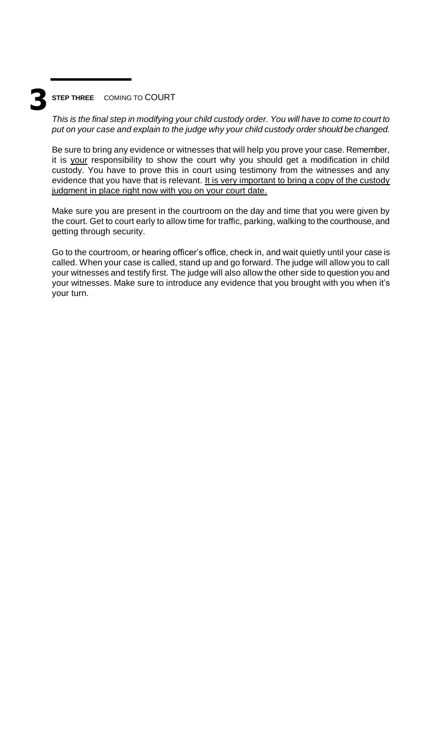## **3 STEP THREE** COMING TO COURT

*This is the final step in modifying your child custody order. You will have to come to court to put on your case and explain to the judge why your child custody order should be changed.* 

Be sure to bring any evidence or witnesses that will help you prove your case. Remember, it is your responsibility to show the court why you should get a modification in child custody. You have to prove this in court using testimony from the witnesses and any evidence that you have that is relevant. It is very important to bring a copy of the custody judgment in place right now with you on your court date.

Make sure you are present in the courtroom on the day and time that you were given by the court. Get to court early to allow time for traffic, parking, walking to the courthouse, and getting through security.

Go to the courtroom, or hearing officer's office, check in, and wait quietly until your case is called. When your case is called, stand up and go forward. The judge will allow you to call your witnesses and testify first. The judge will also allow the other side to question you and your witnesses. Make sure to introduce any evidence that you brought with you when it's your turn.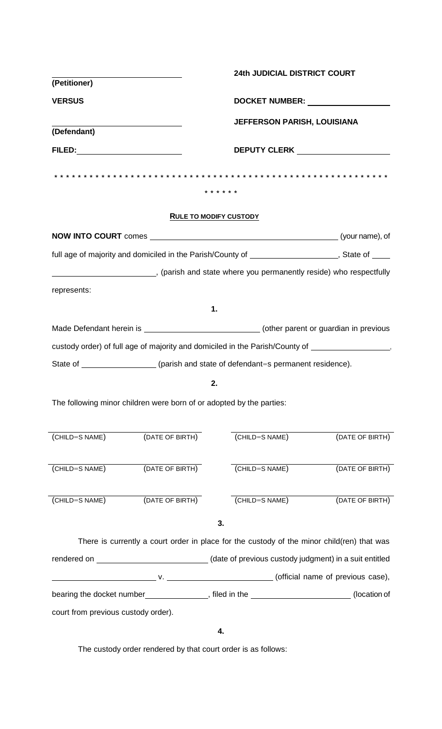| (Petitioner)                                                                                                                                                                                                                   |                                                                                                     | <b>24th JUDICIAL DISTRICT COURT</b>                                                 |                 |  |
|--------------------------------------------------------------------------------------------------------------------------------------------------------------------------------------------------------------------------------|-----------------------------------------------------------------------------------------------------|-------------------------------------------------------------------------------------|-----------------|--|
| <b>VERSUS</b>                                                                                                                                                                                                                  |                                                                                                     | DOCKET NUMBER: University Processors                                                |                 |  |
| (Defendant)                                                                                                                                                                                                                    |                                                                                                     | <b>JEFFERSON PARISH, LOUISIANA</b>                                                  |                 |  |
| FILED: Particular and the contract of the contract of the contract of the contract of the contract of the contract of the contract of the contract of the contract of the contract of the contract of the contract of the cont |                                                                                                     |                                                                                     |                 |  |
| * * * * * *                                                                                                                                                                                                                    |                                                                                                     |                                                                                     |                 |  |
| <b>RULE TO MODIFY CUSTODY</b>                                                                                                                                                                                                  |                                                                                                     |                                                                                     |                 |  |
|                                                                                                                                                                                                                                |                                                                                                     |                                                                                     |                 |  |
| full age of majority and domiciled in the Parish/County of _____________________, State of ____                                                                                                                                |                                                                                                     |                                                                                     |                 |  |
| (parish and state where you permanently reside) who respectfully                                                                                                                                                               |                                                                                                     |                                                                                     |                 |  |
| represents:                                                                                                                                                                                                                    |                                                                                                     |                                                                                     |                 |  |
|                                                                                                                                                                                                                                |                                                                                                     | 1.                                                                                  |                 |  |
| Made Defendant herein is _________________________________(other parent or guardian in previous                                                                                                                                |                                                                                                     |                                                                                     |                 |  |
| custody order) of full age of majority and domiciled in the Parish/County of ______________________                                                                                                                            |                                                                                                     |                                                                                     |                 |  |
|                                                                                                                                                                                                                                |                                                                                                     | State of ____________________(parish and state of defendant=s permanent residence). |                 |  |
| 2.                                                                                                                                                                                                                             |                                                                                                     |                                                                                     |                 |  |
| The following minor children were born of or adopted by the parties:                                                                                                                                                           |                                                                                                     |                                                                                     |                 |  |
| (CHILD=S NAME)                                                                                                                                                                                                                 | (DATE OF BIRTH)                                                                                     | (CHILD=S NAME)                                                                      | (DATE OF BIRTH) |  |
|                                                                                                                                                                                                                                |                                                                                                     |                                                                                     |                 |  |
| (CHILD=S NAME)                                                                                                                                                                                                                 | (DATE OF BIRTH)                                                                                     | (CHILD=S NAME)                                                                      | (DATE OF BIRTH) |  |
| (CHILD=S NAME)                                                                                                                                                                                                                 | (DATE OF BIRTH)                                                                                     | (CHILD=S NAME)                                                                      | (DATE OF BIRTH) |  |
|                                                                                                                                                                                                                                |                                                                                                     |                                                                                     |                 |  |
|                                                                                                                                                                                                                                |                                                                                                     | 3.                                                                                  |                 |  |
| There is currently a court order in place for the custody of the minor child(ren) that was                                                                                                                                     |                                                                                                     |                                                                                     |                 |  |
|                                                                                                                                                                                                                                | rendered on _________________________________(date of previous custody judgment) in a suit entitled |                                                                                     |                 |  |
|                                                                                                                                                                                                                                |                                                                                                     |                                                                                     |                 |  |
| bearing the docket number________________, filed in the ________________________<br>(location of                                                                                                                               |                                                                                                     |                                                                                     |                 |  |
| court from previous custody order).                                                                                                                                                                                            |                                                                                                     |                                                                                     |                 |  |

**4.**

The custody order rendered by that court order is as follows: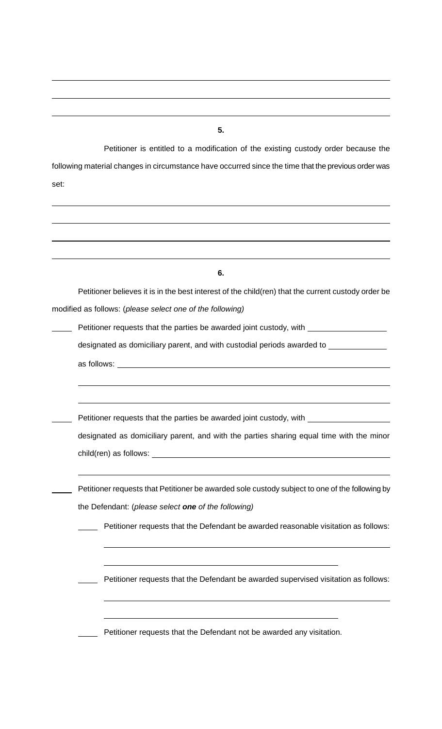**5.**

Petitioner is entitled to a modification of the existing custody order because the following material changes in circumstance have occurred since the time that the previous order was set:

| 6. |                                                                                                    |  |  |  |
|----|----------------------------------------------------------------------------------------------------|--|--|--|
|    | Petitioner believes it is in the best interest of the child(ren) that the current custody order be |  |  |  |
|    | modified as follows: (please select one of the following)                                          |  |  |  |
|    | Petitioner requests that the parties be awarded joint custody, with _____________                  |  |  |  |
|    | designated as domiciliary parent, and with custodial periods awarded to _________                  |  |  |  |
|    |                                                                                                    |  |  |  |
|    |                                                                                                    |  |  |  |
|    |                                                                                                    |  |  |  |
|    | Petitioner requests that the parties be awarded joint custody, with _____________                  |  |  |  |
|    | designated as domiciliary parent, and with the parties sharing equal time with the minor           |  |  |  |
|    |                                                                                                    |  |  |  |
|    |                                                                                                    |  |  |  |
|    | Petitioner requests that Petitioner be awarded sole custody subject to one of the following by     |  |  |  |
|    | the Defendant: (please select one of the following)                                                |  |  |  |
|    | Petitioner requests that the Defendant be awarded reasonable visitation as follows:                |  |  |  |
|    |                                                                                                    |  |  |  |
|    | Petitioner requests that the Defendant be awarded supervised visitation as follows:                |  |  |  |
|    | Petitioner requests that the Defendant not be awarded any visitation.                              |  |  |  |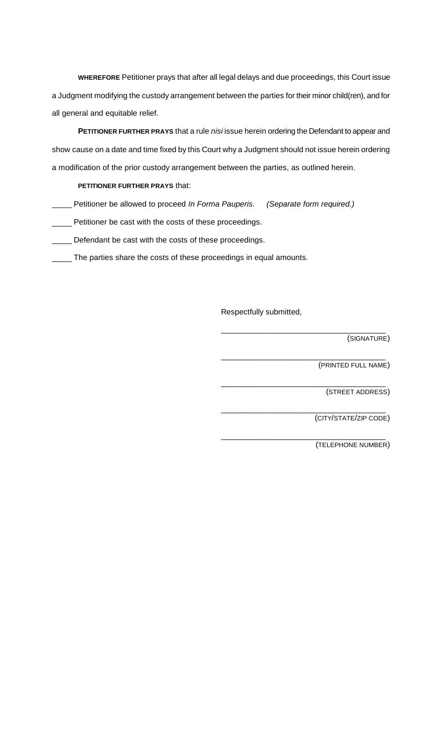**WHEREFORE** Petitioner prays that after all legal delays and due proceedings, this Court issue a Judgment modifying the custody arrangement between the parties for their minor child(ren), and for all general and equitable relief.

**PETITIONER FURTHER PRAYS** that a rule *nisi* issue herein ordering the Defendant to appear and show cause on a date and time fixed by this Court why a Judgment should not issue herein ordering a modification of the prior custody arrangement between the parties, as outlined herein.

#### **PETITIONER FURTHER PRAYS** that:

Petitioner be allowed to proceed *In Forma Pauperis. (Separate form required.)*

**Petitioner be cast with the costs of these proceedings.** 

Defendant be cast with the costs of these proceedings.

The parties share the costs of these proceedings in equal amounts.

Respectfully submitted,

\_\_\_\_\_\_\_\_\_\_\_\_\_\_\_\_\_\_\_\_\_\_\_\_\_\_\_\_\_\_\_\_\_\_\_\_\_\_

\_\_\_\_\_\_\_\_\_\_\_\_\_\_\_\_\_\_\_\_\_\_\_\_\_\_\_\_\_\_\_\_\_\_\_\_\_\_

\_\_\_\_\_\_\_\_\_\_\_\_\_\_\_\_\_\_\_\_\_\_\_\_\_\_\_\_\_\_\_\_\_\_\_\_\_\_

\_\_\_\_\_\_\_\_\_\_\_\_\_\_\_\_\_\_\_\_\_\_\_\_\_\_\_\_\_\_\_\_\_\_\_\_\_\_

\_\_\_\_\_\_\_\_\_\_\_\_\_\_\_\_\_\_\_\_\_\_\_\_\_\_\_\_\_\_\_\_\_\_\_\_\_\_ (SIGNATURE)

(PRINTED FULL NAME)

(STREET ADDRESS)

(CITY/STATE/ZIP CODE)

(TELEPHONE NUMBER)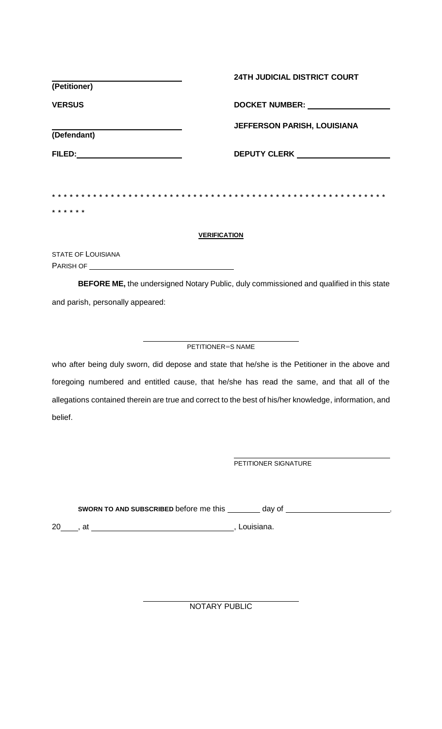|                           | <b>24TH JUDICIAL DISTRICT COURT</b>     |  |  |  |
|---------------------------|-----------------------------------------|--|--|--|
| (Petitioner)              |                                         |  |  |  |
| <b>VERSUS</b>             | DOCKET NUMBER: NAMEL AND DOCKET NUMBER: |  |  |  |
| (Defendant)               | <b>JEFFERSON PARISH, LOUISIANA</b>      |  |  |  |
|                           |                                         |  |  |  |
|                           |                                         |  |  |  |
|                           |                                         |  |  |  |
| * * * * * *               |                                         |  |  |  |
| <b>VERIFICATION</b>       |                                         |  |  |  |
| <b>STATE OF LOUISIANA</b> |                                         |  |  |  |
| PARISH OF                 |                                         |  |  |  |

**BEFORE ME,** the undersigned Notary Public, duly commissioned and qualified in this state and parish, personally appeared:

#### PETITIONER=S NAME

who after being duly sworn, did depose and state that he/she is the Petitioner in the above and foregoing numbered and entitled cause, that he/she has read the same, and that all of the allegations contained therein are true and correct to the best of his/her knowledge, information, and belief.

PETITIONER SIGNATURE

SWORN TO AND SUBSCRIBED before me this \_\_\_\_\_\_\_ day of \_\_\_\_\_\_\_\_\_\_\_\_\_\_\_\_\_\_\_\_\_\_\_\_\_\_

20 , at , Louisiana.

NOTARY PUBLIC